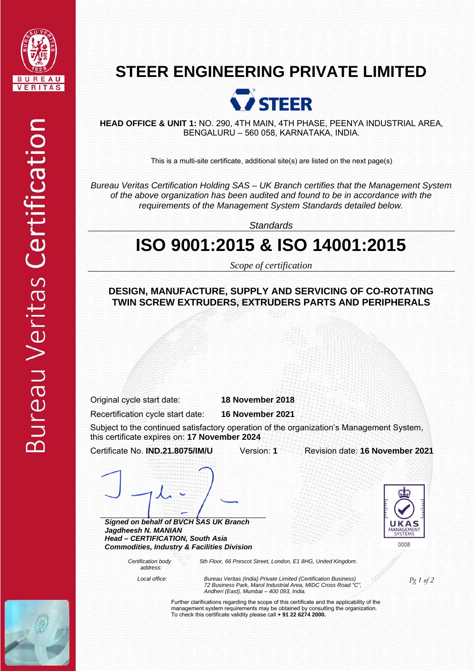

## **STEER ENGINEERING PRIVATE LIMITED**



**HEAD OFFICE & UNIT 1:** NO. 290, 4TH MAIN, 4TH PHASE, PEENYA INDUSTRIAL AREA, BENGALURU – 560 058, KARNATAKA, INDIA.

This is a multi-site certificate, additional site(s) are listed on the next page(s)

*Bureau Veritas Certification Holding SAS – UK Branch certifies that the Management System of the above organization has been audited and found to be in accordance with the requirements of the Management System Standards detailed below.*

*Standards*

## **ISO 9001:2015 & ISO 14001:2015**

*Scope of certification* 

**DESIGN, MANUFACTURE, SUPPLY AND SERVICING OF CO-ROTATING TWIN SCREW EXTRUDERS, EXTRUDERS PARTS AND PERIPHERALS** 

Original cycle start date: **18 November 2018** 

Recertification cycle start date: **16 November 2021** 

Subject to the continued satisfactory operation of the organization's Management System, this certificate expires on: **17 November 2024**

Certificate No. **IND.21.8075/IM/U** Version: **1** Revision date: **16 November 2021**

*Signed on behalf of BVCH SAS UK Branch Jagdheesh N. MANIAN Head – CERTIFICATION, South Asia Commodities, Industry & Facilities Division* 

> *Certification body address:*

*5th Floor, 66 Prescot Street, London, E1 8HG, United Kingdom.* 

*Pg 1 of 2 Local office: Bureau Veritas (India) Private Limited (Certification Business) 72 Business Park, Marol Industrial Area, MIDC Cross Road "C", Andheri (East), Mumbai – 400 093, India.*

> Further clarifications regarding the scope of this certificate and the applicability of the management system requirements may be obtained by consulting the organization. To check this certificate validity please call **+ 91 22 6274 2000.**